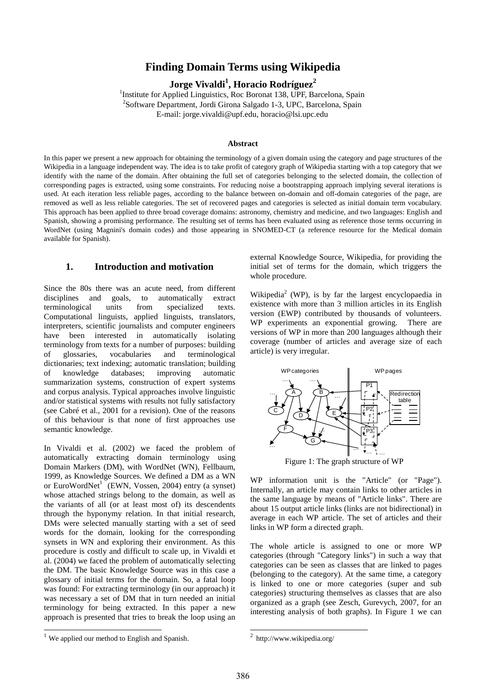# **Finding Domain Terms using Wikipedia**

**Jorge Vivaldi<sup>1</sup> , Horacio Rodríguez<sup>2</sup>**

<sup>1</sup>Institute for Applied Linguistics, Roc Boronat 138, UPF, Barcelona, Spain <sup>2</sup>Software Department, Jordi Girona Salgado 1-3, UPC, Barcelona, Spain E-mail: jorge.vivaldi@upf.edu, horacio@lsi.upc.edu

#### **Abstract**

In this paper we present a new approach for obtaining the terminology of a given domain using the category and page structures of the Wikipedia in a language independent way. The idea is to take profit of category graph of Wikipedia starting with a top category that we identify with the name of the domain. After obtaining the full set of categories belonging to the selected domain, the collection of corresponding pages is extracted, using some constraints. For reducing noise a bootstrapping approach implying several iterations is used. At each iteration less reliable pages, according to the balance between on-domain and off-domain categories of the page, are removed as well as less reliable categories. The set of recovered pages and categories is selected as initial domain term vocabulary. This approach has been applied to three broad coverage domains: astronomy, chemistry and medicine, and two languages: English and Spanish, showing a promising performance. The resulting set of terms has been evaluated using as reference those terms occurring in WordNet (using Magnini's domain codes) and those appearing in SNOMED-CT (a reference resource for the Medical domain available for Spanish).

## **1. Introduction and motivation**

Since the 80s there was an acute need, from different disciplines and goals, to automatically extract terminological units from specialized texts. Computational linguists, applied linguists, translators, interpreters, scientific journalists and computer engineers have been interested in automatically isolating terminology from texts for a number of purposes: building of glossaries, vocabularies and terminological dictionaries; text indexing; automatic translation; building of knowledge databases; improving automatic summarization systems, construction of expert systems and corpus analysis. Typical approaches involve linguistic and/or statistical systems with results not fully satisfactory (see Cabré et al., 2001 for a revision). One of the reasons of this behaviour is that none of first approaches use semantic knowledge.

In Vivaldi et al. (2002) we faced the problem of automatically extracting domain terminology using Domain Markers (DM), with WordNet (WN), Fellbaum, 1999, as Knowledge Sources. We defined a DM as a WN or EuroWordNet<sup>1</sup> (EWN, Vossen, 2004) entry (a synset) whose attached strings belong to the domain, as well as the variants of all (or at least most of) its descendents through the hyponymy relation. In that initial research, DMs were selected manually starting with a set of seed words for the domain, looking for the corresponding synsets in WN and exploring their environment. As this procedure is costly and difficult to scale up, in Vivaldi et al. (2004) we faced the problem of automatically selecting the DM. The basic Knowledge Source was in this case a glossary of initial terms for the domain. So, a fatal loop was found: For extracting terminology (in our approach) it was necessary a set of DM that in turn needed an initial terminology for being extracted. In this paper a new approach is presented that tries to break the loop using an

external Knowledge Source, Wikipedia, for providing the initial set of terms for the domain, which triggers the whole procedure.

Wikipedia<sup>2</sup> (WP), is by far the largest encyclopaedia in existence with more than 3 million articles in its English version (EWP) contributed by thousands of volunteers. WP experiments an exponential growing. There are versions of WP in more than 200 languages although their coverage (number of articles and average size of each article) is very irregular.



Figure 1: The graph structure of WP

WP information unit is the "Article" (or "Page"). Internally, an article may contain links to other articles in the same language by means of "Article links". There are about 15 output article links (links are not bidirectional) in average in each WP article. The set of articles and their links in WP form a directed graph.

The whole article is assigned to one or more WP categories (through "Category links") in such a way that categories can be seen as classes that are linked to pages (belonging to the category). At the same time, a category is linked to one or more categories (super and sub categories) structuring themselves as classes that are also organized as a graph (see Zesch, Gurevych, 2007, for an interesting analysis of both graphs). In Figure 1 we can

l

1

<sup>&</sup>lt;sup>1</sup> We applied our method to English and Spanish.

 $2$  http://www.wikipedia.org/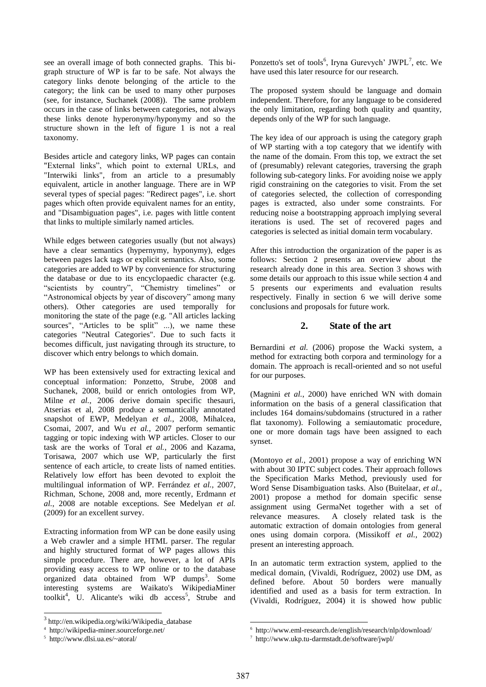see an overall image of both connected graphs. This bigraph structure of WP is far to be safe. Not always the category links denote belonging of the article to the category; the link can be used to many other purposes (see, for instance, Suchanek (2008)). The same problem occurs in the case of links between categories, not always these links denote hyperonymy/hyponymy and so the structure shown in the left of figure 1 is not a real taxonomy.

Besides article and category links, WP pages can contain "External links", which point to external URLs, and "Interwiki links", from an article to a presumably equivalent, article in another language. There are in WP several types of special pages: "Redirect pages", i.e. short pages which often provide equivalent names for an entity, and "Disambiguation pages", i.e. pages with little content that links to multiple similarly named articles.

While edges between categories usually (but not always) have a clear semantics (hypernymy, hyponymy), edges between pages lack tags or explicit semantics. Also, some categories are added to WP by convenience for structuring the database or due to its encyclopaedic character (e.g. "scientists by country", "Chemistry timelines" or "Astronomical objects by year of discovery" among many others). Other categories are used temporally for monitoring the state of the page (e.g. "All articles lacking sources", "Articles to be split" ...), we name these categories "Neutral Categories". Due to such facts it becomes difficult, just navigating through its structure, to discover which entry belongs to which domain.

WP has been extensively used for extracting lexical and conceptual information: Ponzetto, Strube, 2008 and Suchanek, 2008, build or enrich ontologies from WP, Milne *et al.*, 2006 derive domain specific thesauri, Atserias et al, 2008 produce a semantically annotated snapshot of EWP, Medelyan *et al.*, 2008, Mihalcea, Csomai, 2007, and Wu *et al.*, 2007 perform semantic tagging or topic indexing with WP articles. Closer to our task are the works of Toral *et al.*, 2006 and Kazama, Torisawa, 2007 which use WP, particularly the first sentence of each article, to create lists of named entities. Relatively low effort has been devoted to exploit the multilingual information of WP. Ferrández *et al.*, 2007, Richman, Schone, 2008 and, more recently, Erdmann *et al.*, 2008 are notable exceptions. See Medelyan *et al.* (2009) for an excellent survey.

Extracting information from WP can be done easily using a Web crawler and a simple HTML parser. The regular and highly structured format of WP pages allows this simple procedure. There are, however, a lot of APIs providing easy access to WP online or to the database organized data obtained from WP dumps<sup>3</sup>. Some interesting systems are Waikato's WikipediaMiner toolkit<sup>4</sup>, U. Alicante's wiki db  $access^5$ , Strube and

l

Ponzetto's set of tools<sup>6</sup>, Iryna Gurevych' JWPL<sup>7</sup>, etc. We have used this later resource for our research.

The proposed system should be language and domain independent. Therefore, for any language to be considered the only limitation, regarding both quality and quantity, depends only of the WP for such language.

The key idea of our approach is using the category graph of WP starting with a top category that we identify with the name of the domain. From this top, we extract the set of (presumably) relevant categories, traversing the graph following sub-category links. For avoiding noise we apply rigid constraining on the categories to visit. From the set of categories selected, the collection of corresponding pages is extracted, also under some constraints. For reducing noise a bootstrapping approach implying several iterations is used. The set of recovered pages and categories is selected as initial domain term vocabulary.

After this introduction the organization of the paper is as follows: Section 2 presents an overview about the research already done in this area. Section 3 shows with some details our approach to this issue while section 4 and 5 presents our experiments and evaluation results respectively. Finally in section 6 we will derive some conclusions and proposals for future work.

## **2. State of the art**

Bernardini *et al.* (2006) propose the Wacki system, a method for extracting both corpora and terminology for a domain. The approach is recall-oriented and so not useful for our purposes.

(Magnini *et al.*, 2000) have enriched WN with domain information on the basis of a general classification that includes 164 domains/subdomains (structured in a rather flat taxonomy). Following a semiautomatic procedure, one or more domain tags have been assigned to each synset.

(Montoyo *et al.*, 2001) propose a way of enriching WN with about 30 IPTC subject codes. Their approach follows the Specification Marks Method, previously used for Word Sense Disambiguation tasks. Also (Buitelaar, *et al.*, 2001) propose a method for domain specific sense assignment using GermaNet together with a set of relevance measures. A closely related task is the automatic extraction of domain ontologies from general ones using domain corpora. (Missikoff *et al.*, 2002) present an interesting approach.

In an automatic term extraction system, applied to the medical domain, (Vivaldi, Rodríguez, 2002) use DM, as defined before. About 50 borders were manually identified and used as a basis for term extraction. In (Vivaldi, Rodríguez, 2004) it is showed how public

.

<sup>3</sup> http://en.wikipedia.org/wiki/Wikipedia\_database

<sup>4</sup> http://wikipedia-miner.sourceforge.net/

<sup>5</sup> http://www.dlsi.ua.es/~atoral/

<sup>6</sup> http://www.eml-research.de/english/research/nlp/download/

<sup>7</sup> http://www.ukp.tu-darmstadt.de/software/jwpl/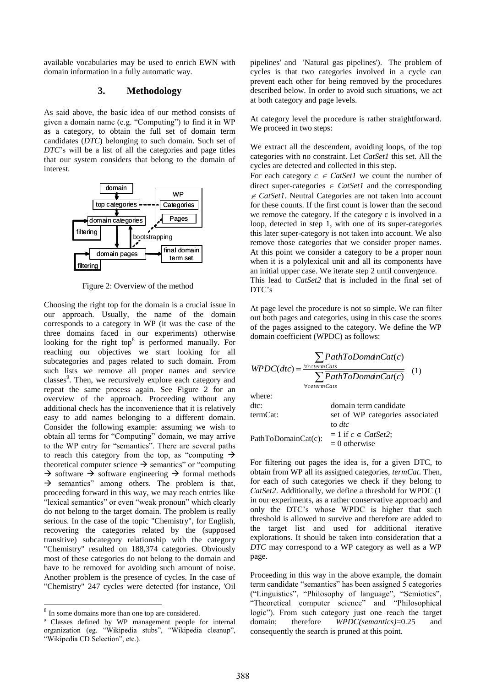available vocabularies may be used to enrich EWN with domain information in a fully automatic way.

## **3. Methodology**

As said above, the basic idea of our method consists of given a domain name (e.g. "Computing") to find it in WP as a category, to obtain the full set of domain term candidates (*DTC*) belonging to such domain. Such set of *DTC*'s will be a list of all the categories and page titles that our system considers that belong to the domain of interest.



Figure 2: Overview of the method

Choosing the right top for the domain is a crucial issue in our approach. Usually, the name of the domain corresponds to a category in WP (it was the case of the three domains faced in our experiments) otherwise looking for the right top $8$  is performed manually. For reaching our objectives we start looking for all subcategories and pages related to such domain. From such lists we remove all proper names and service classes<sup>9</sup>. Then, we recursively explore each category and repeat the same process again. See Figure 2 for an overview of the approach. Proceeding without any additional check has the inconvenience that it is relatively easy to add names belonging to a different domain. Consider the following example: assuming we wish to obtain all terms for "Computing" domain, we may arrive to the WP entry for "semantics". There are several paths to reach this category from the top, as "computing  $\rightarrow$ theoretical computer science  $\rightarrow$  semantics" or "computing"  $\rightarrow$  software  $\rightarrow$  software engineering  $\rightarrow$  formal methods  $\rightarrow$  semantics" among others. The problem is that, proceeding forward in this way, we may reach entries like "lexical semantics" or even "weak pronoun" which clearly do not belong to the target domain. The problem is really serious. In the case of the topic "Chemistry", for English, recovering the categories related by the (supposed transitive) subcategory relationship with the category "Chemistry" resulted on 188,374 categories. Obviously most of these categories do not belong to the domain and have to be removed for avoiding such amount of noise. Another problem is the presence of cycles. In the case of "Chemistry" 247 cycles were detected (for instance, 'Oil consequently means and service and the search in the first outer of the point at the mean of the mean of the mean of the mean of the mean of the mean of the mean of the mean of the mean of the mean of the mean of the mean

l

pipelines' and 'Natural gas pipelines'). The problem of cycles is that two categories involved in a cycle can prevent each other for being removed by the procedures described below. In order to avoid such situations, we act at both category and page levels.

At category level the procedure is rather straightforward. We proceed in two steps:

We extract all the descendent, avoiding loops, of the top categories with no constraint. Let *CatSet1* this set. All the cycles are detected and collected in this step.

For each category  $c \in CatSet1$  we count the number of direct super-categories  $\in \text{CatSet}$  and the corresponding  $\epsilon$  CatSet1. Neutral Categories are not taken into account for these counts. If the first count is lower than the second we remove the category. If the category c is involved in a loop, detected in step 1, with one of its super-categories this later super-category is not taken into account. We also remove those categories that we consider proper names. At this point we consider a category to be a proper noun when it is a polylexical unit and all its components have an initial upper case. We iterate step 2 until convergence. This lead to *CatSet2* that is included in the final set of DTC's

At page level the procedure is not so simple. We can filter out both pages and categories, using in this case the scores of the pages assigned to the category. We define the WP domain coefficient (WPDC) as follows:

$$
WPDC(dtc) = \frac{\sum_{\forall c \in term\,Cats} PathToDomainCat(c)}{\sum_{\forall c \notin term\,Cats} PathToDomainCat(c)} \quad (1)
$$

where:

| .                      |                                  |  |  |  |  |  |
|------------------------|----------------------------------|--|--|--|--|--|
| dtc:                   | domain term candidate            |  |  |  |  |  |
| termCat:               | set of WP categories associated  |  |  |  |  |  |
|                        | to <i>dtc</i>                    |  |  |  |  |  |
| $PathToDomainCat(c)$ : | $= 1$ if $c \in \text{CatSet2};$ |  |  |  |  |  |
|                        | $= 0$ otherwise                  |  |  |  |  |  |

For filtering out pages the idea is, for a given DTC, to obtain from WP all its assigned categories, *termCat*. Then, for each of such categories we check if they belong to *CatSet2*. Additionally, we define a threshold for WPDC (1 in our experiments, as a rather conservative approach) and only the DTC's whose WPDC is higher that such threshold is allowed to survive and therefore are added to the target list and used for additional iterative explorations. It should be taken into consideration that a *DTC* may correspond to a WP category as well as a WP page.

Proceeding in this way in the above example, the domain term candidate "semantics" has been assigned 5 categories ("Linguistics", "Philosophy of language", "Semiotics", "Theoretical computer science" and "Philosophical logic"). From such category just one reach the target domain; therefore *WPDC(semantics)*=0.25 and

<sup>&</sup>lt;sup>8</sup> In some domains more than one top are considered.

<sup>9</sup> Classes defined by WP management people for internal organization (eg. "Wikipedia stubs", "Wikipedia cleanup", "Wikipedia CD Selection", etc.).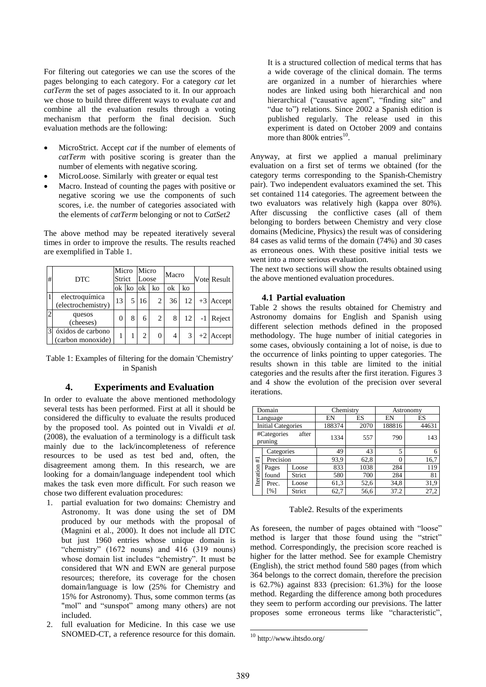For filtering out categories we can use the scores of the pages belonging to each category. For a category *cat* let *catTerm* the set of pages associated to it. In our approach we chose to build three different ways to evaluate *cat* and combine all the evaluation results through a voting mechanism that perform the final decision. Such evaluation methods are the following:

- MicroStrict. Accept *cat* if the number of elements of *catTerm* with positive scoring is greater than the number of elements with negative scoring.
- MicroLoose. Similarly with greater or equal test
- Macro. Instead of counting the pages with positive or negative scoring we use the components of such scores, i.e. the number of categories associated with the elements of *catTerm* belonging or not to *CatSet2*

The above method may be repeated iteratively several times in order to improve the results. The results reached are exemplified in Table 1.

| #              | <b>DTC</b>                             |        | Micro<br>Strict |                               | Micro<br>Loose |    | Macro |      | <b>Votel Result</b> |
|----------------|----------------------------------------|--------|-----------------|-------------------------------|----------------|----|-------|------|---------------------|
|                |                                        | ok Iko |                 | ok                            | ko             | ok | ko    |      |                     |
|                | electroquímica<br>(electrochemistry)   | 13     |                 | 16                            | 2              | 36 | 12    | $+3$ | Accept              |
| $\overline{c}$ | quesos<br>(cheeses)                    | 0      | 8               | 6                             | 2              | 8  | 12    |      | -1 Reject           |
| 3              | óxidos de carbono<br>(carbon monoxide) |        |                 | $\mathfrak{D}_{\mathfrak{p}}$ | 0              | 4  |       |      | $+2$ Accept         |

Table 1: Examples of filtering for the domain 'Chemistry' in Spanish

#### **4. Experiments and Evaluation**

In order to evaluate the above mentioned methodology several tests has been performed. First at all it should be considered the difficulty to evaluate the results produced by the proposed tool. As pointed out in Vivaldi *et al.* (2008), the evaluation of a terminology is a difficult task mainly due to the lack/incompleteness of reference resources to be used as test bed and, often, the disagreement among them. In this research, we are looking for a domain/language independent tool which makes the task even more difficult. For such reason we chose two different evaluation procedures:

- 1. partial evaluation for two domains: Chemistry and Astronomy. It was done using the set of DM produced by our methods with the proposal of (Magnini et al., 2000). It does not include all DTC but just 1960 entries whose unique domain is "chemistry"  $(1672 \text{ nouns})$  and  $416 \text{ (319 nouns)}$ whose domain list includes "chemistry". It must be considered that WN and EWN are general purpose resources; therefore, its coverage for the chosen domain/language is low (25% for Chemistry and 15% for Astronomy). Thus, some common terms (as "mol" and "sunspot" among many others) are not included.
- 2. full evaluation for Medicine. In this case we use SNOMED-CT, a reference resource for this domain.

It is a structured collection of medical terms that has a wide coverage of the clinical domain. The terms are organized in a number of hierarchies where nodes are linked using both hierarchical and non hierarchical ("causative agent", "finding site" and "due to") relations. Since 2002 a Spanish edition is published regularly. The release used in this experiment is dated on October 2009 and contains more than  $800k$  entries<sup>10</sup>.

Anyway, at first we applied a manual preliminary evaluation on a first set of terms we obtained (for the category terms corresponding to the Spanish-Chemistry pair). Two independent evaluators examined the set. This set contained 114 categories. The agreement between the two evaluators was relatively high (kappa over 80%). After discussing the conflictive cases (all of them belonging to borders between Chemistry and very close domains (Medicine, Physics) the result was of considering 84 cases as valid terms of the domain (74%) and 30 cases as erroneous ones. With these positive initial tests we went into a more serious evaluation.

The next two sections will show the results obtained using the above mentioned evaluation procedures.

#### **4.1 Partial evaluation**

Table 2 shows the results obtained for Chemistry and Astronomy domains for English and Spanish using different selection methods defined in the proposed methodology. The huge number of initial categories in some cases, obviously containing a lot of noise, is due to the occurrence of links pointing to upper categories. The results shown in this table are limited to the initial categories and the results after the first iteration. Figures 3 and 4 show the evolution of the precision over several iterations.

|                                 | Domain                    |        | Chemistry |      | Astronomy |       |  |
|---------------------------------|---------------------------|--------|-----------|------|-----------|-------|--|
| Language                        |                           | EN     | ES        | EN   | ES        |       |  |
|                                 | <b>Initial Categories</b> |        | 188374    | 2070 | 188816    | 44631 |  |
| #Categories<br>after<br>pruning |                           | 1334   | 557       | 790  | 143       |       |  |
|                                 | Categories                |        | 49        | 43   | 5         | 6     |  |
| #1                              | Precision                 |        | 93,9      | 62,8 |           | 16,7  |  |
|                                 | Loose<br>Pages            |        | 833       | 1038 | 284       | 119   |  |
| Iteration                       | found                     | Strict | 580       | 700  | 284       | 81    |  |
|                                 | Prec.                     | Loose  | 61,3      | 52,6 | 34,8      | 31,9  |  |
|                                 | [%]                       | Strict | 62,7      | 56,6 | 37.2      | 27,2  |  |

#### Table2. Results of the experiments

As foreseen, the number of pages obtained with "loose" method is larger that those found using the "strict" method. Correspondingly, the precision score reached is higher for the latter method. See for example Chemistry (English), the strict method found 580 pages (from which 364 belongs to the correct domain, therefore the precision is 62.7%) against 833 (precision: 61.3%) for the loose method. Regarding the difference among both procedures they seem to perform according our previsions. The latter proposes some erroneous terms like "characteristic",

1

 $\rm ^{10}$  http://www.ihtsdo.org/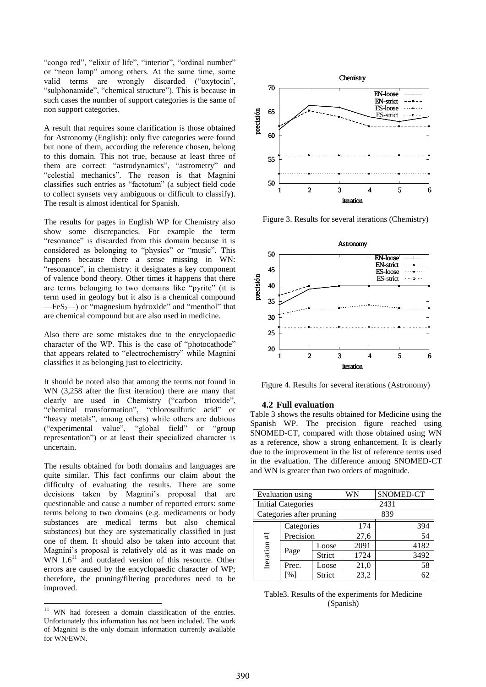"congo red", "elixir of life", "interior", "ordinal number" or "neon lamp" among others. At the same time, some valid terms are wrongly discarded ("oxytocin", "sulphonamide", "chemical structure"). This is because in such cases the number of support categories is the same of non support categories.

A result that requires some clarification is those obtained for Astronomy (English): only five categories were found but none of them, according the reference chosen, belong to this domain. This not true, because at least three of them are correct: "astrodynamics", "astrometry" and "celestial mechanics". The reason is that Magnini classifies such entries as "factotum" (a subject field code to collect synsets very ambiguous or difficult to classify). The result is almost identical for Spanish.

The results for pages in English WP for Chemistry also show some discrepancies. For example the term "resonance" is discarded from this domain because it is considered as belonging to "physics" or "music". This happens because there a sense missing in WN: "resonance", in chemistry: it designates a key component of valence bond theory. Other times it happens that there are terms belonging to two domains like "pyrite" (it is term used in geology but it also is a chemical compound  $-FeS<sub>2</sub>$ ) or "magnesium hydroxide" and "menthol" that are chemical compound but are also used in medicine.

Also there are some mistakes due to the encyclopaedic character of the WP. This is the case of "photocathode" that appears related to "electrochemistry" while Magnini classifies it as belonging just to electricity.

It should be noted also that among the terms not found in WN (3,258 after the first iteration) there are many that clearly are used in Chemistry ("carbon trioxide", "chemical transformation", "chlorosulfuric acid" or "heavy metals", among others) while others are dubious ("experimental value", "global field" or "group representation") or at least their specialized character is uncertain.

The results obtained for both domains and languages are quite similar. This fact confirms our claim about the difficulty of evaluating the results. There are some decisions taken by Magnini's proposal that are questionable and cause a number of reported errors: some terms belong to two domains (e.g. medicaments or body substances are medical terms but also chemical substances) but they are systematically classified in just one of them. It should also be taken into account that Magnini's proposal is relatively old as it was made on WN  $1.6<sup>11</sup>$  and outdated version of this resource. Other errors are caused by the encyclopaedic character of WP; therefore, the pruning/filtering procedures need to be improved.

l



Figure 3. Results for several iterations (Chemistry)



Figure 4. Results for several iterations (Astronomy)

#### **4.2 Full evaluation**

Table 3 shows the results obtained for Medicine using the Spanish WP. The precision figure reached using SNOMED-CT, compared with those obtained using WN as a reference, show a strong enhancement. It is clearly due to the improvement in the list of reference terms used in the evaluation. The difference among SNOMED-CT and WN is greater than two orders of magnitude.

| Evaluation using          |                          |        | WN   | SNOMED-CT |  |  |  |
|---------------------------|--------------------------|--------|------|-----------|--|--|--|
| <b>Initial Categories</b> |                          |        | 2431 |           |  |  |  |
| Categories after pruning  |                          |        | 839  |           |  |  |  |
|                           | Categories               |        | 174  | 394       |  |  |  |
| $\ddot{}$                 | Precision                |        | 27,6 | 54        |  |  |  |
| Iteration                 | Page                     | Loose  | 2091 | 4182      |  |  |  |
|                           |                          | Strict | 1724 | 3492      |  |  |  |
|                           | Prec.                    | Loose  | 21,0 | 58        |  |  |  |
|                           | $\lceil \sqrt{9} \rceil$ | Strict | 23,2 | 62        |  |  |  |

|  | Table 3. Results of the experiments for Medicine |  |  |
|--|--------------------------------------------------|--|--|
|  | (Spanish)                                        |  |  |

<sup>&</sup>lt;sup>11</sup> WN had foreseen a domain classification of the entries. Unfortunately this information has not been included. The work of Magnini is the only domain information currently available for WN/EWN.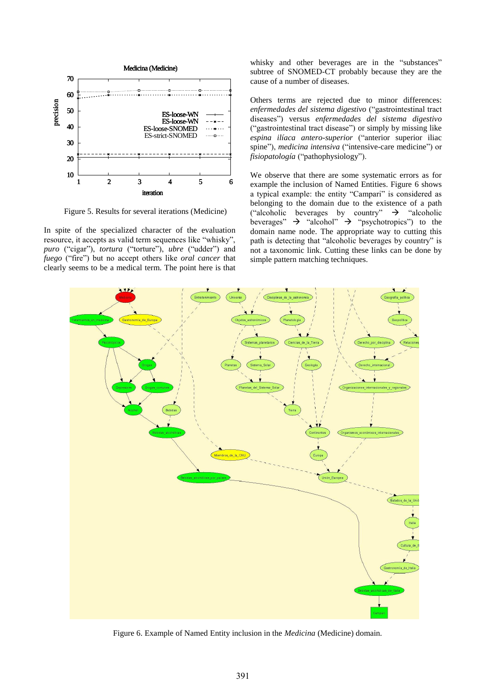

Figure 5. Results for several iterations (Medicine)

In spite of the specialized character of the evaluation resource, it accepts as valid term sequences like "whisky", *puro* ("cigar"), *tortura* ("torture"), *ubre* ("udder") and *fuego* ("fire") but no accept others like *oral cancer* that clearly seems to be a medical term. The point here is that whisky and other beverages are in the "substances" subtree of SNOMED-CT probably because they are the cause of a number of diseases.

Others terms are rejected due to minor differences: *enfermedades del sistema digestivo* ("gastrointestinal tract diseases") versus *enfermedades del sistema digestivo* ("gastrointestinal tract disease") or simply by missing like *espina ilíaca antero-superior* ("anterior superior iliac spine"), *medicina intensiva* ("intensive-care medicine") or *fisiopatología* ("pathophysiology").

We observe that there are some systematic errors as for example the inclusion of Named Entities. Figure 6 shows a typical example: the entity "Campari" is considered as belonging to the domain due to the existence of a path ("alcoholic beverages by country"  $\rightarrow$  "alcoholic beverages"  $\rightarrow$  "alcohol"  $\rightarrow$  "psychotropics") to the domain name node. The appropriate way to cutting this path is detecting that "alcoholic beverages by country" is not a taxonomic link. Cutting these links can be done by simple pattern matching techniques.



Figure 6. Example of Named Entity inclusion in the *Medicina* (Medicine) domain.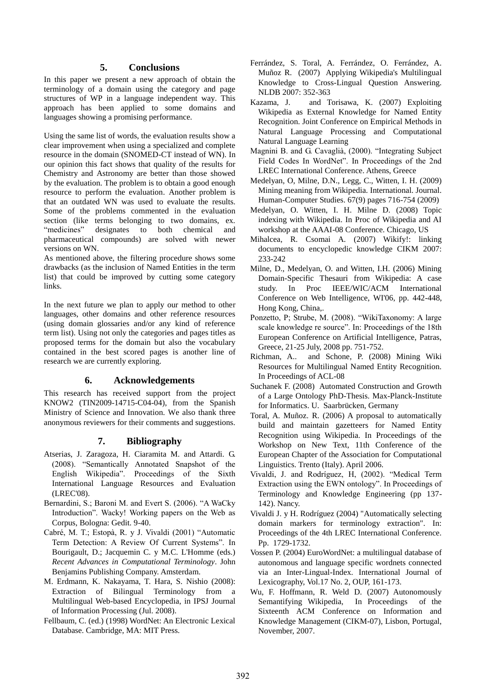# **5. Conclusions**

In this paper we present a new approach of obtain the terminology of a domain using the category and page structures of WP in a language independent way. This approach has been applied to some domains and languages showing a promising performance.

Using the same list of words, the evaluation results show a clear improvement when using a specialized and complete resource in the domain (SNOMED-CT instead of WN). In our opinion this fact shows that quality of the results for Chemistry and Astronomy are better than those showed by the evaluation. The problem is to obtain a good enough resource to perform the evaluation. Another problem is that an outdated WN was used to evaluate the results. Some of the problems commented in the evaluation section (like terms belonging to two domains, ex. "medicines" designates to both chemical and pharmaceutical compounds) are solved with newer versions on WN.

As mentioned above, the filtering procedure shows some drawbacks (as the inclusion of Named Entities in the term list) that could be improved by cutting some category links.

In the next future we plan to apply our method to other languages, other domains and other reference resources (using domain glossaries and/or any kind of reference term list). Using not only the categories and pages titles as proposed terms for the domain but also the vocabulary contained in the best scored pages is another line of research we are currently exploring.

#### **6. Acknowledgements**

This research has received support from the project KNOW2 (TIN2009-14715-C04-04), from the Spanish Ministry of Science and Innovation. We also thank three anonymous reviewers for their comments and suggestions.

# **7. Bibliography**

- Atserias, J. Zaragoza, H. Ciaramita M. and Attardi. G. (2008). "Semantically Annotated Snapshot of the English Wikipedia". Proceedings of the Sixth International Language Resources and Evaluation (LREC'08).
- Bernardini, S.; Baroni M. and Evert S. (2006). "A WaCky Introduction". Wacky! Working papers on the Web as Corpus, Bologna: Gedit. 9-40.
- Cabré, M. T.; Estopà, R. y J. Vivaldi (2001) "Automatic Term Detection: A Review Of Current Systems". In Bourigault, D.; Jacquemin C. y M.C. L'Homme (eds.) *Recent Advances in Computational Terminology*. John Benjamins Publishing Company. Amsterdam.
- M. Erdmann, K. Nakayama, T. Hara, S. Nishio (2008): Extraction of Bilingual Terminology from a Multilingual Web-based Encyclopedia, in IPSJ Journal of Information Processing (Jul. 2008).
- Fellbaum, C. (ed.) (1998) WordNet: An Electronic Lexical Database. Cambridge, MA: MIT Press.
- Ferrández, S. Toral, A. Ferrández, O. Ferrández, A. Muñoz R. (2007) Applying Wikipedia's Multilingual Knowledge to Cross-Lingual Question Answering. NLDB 2007: 352-363
- Kazama, J. and Torisawa, K. (2007) Exploiting Wikipedia as External Knowledge for Named Entity Recognition. Joint Conference on Empirical Methods in Natural Language Processing and Computational Natural Language Learning
- Magnini B. and G. Cavaglià, (2000). "Integrating Subject Field Codes In WordNet". In Proceedings of the 2nd LREC International Conference. Athens, Greece
- Medelyan, O, Milne, D.N., Legg, C., Witten, I. H. (2009) Mining meaning from Wikipedia. International. Journal. Human-Computer Studies. 67(9) pages 716-754 (2009)
- Medelyan, O. Witten, I. H. Milne D. (2008) Topic indexing with Wikipedia. In Proc of Wikipedia and AI workshop at the AAAI-08 Conference. Chicago, US
- Mihalcea, R. Csomai A. (2007) Wikify!: linking documents to encyclopedic knowledge CIKM 2007: 233-242
- Milne, D., Medelyan, O. and Witten, I.H. (2006) Mining Domain-Specific Thesauri from Wikipedia: A case study. In Proc IEEE/WIC/ACM International Conference on Web Intelligence, WI'06, pp. 442-448, Hong Kong, China,.
- Ponzetto, P; Strube, M. (2008). "WikiTaxonomy: A large scale knowledge re source". In: Proceedings of the 18th European Conference on Artificial Intelligence, Patras, Greece, 21-25 July, 2008 pp. 751-752.
- Richman, A.. and Schone, P. (2008) Mining Wiki Resources for Multilingual Named Entity Recognition. In Proceedings of ACL-08
- Suchanek F. (2008) Automated Construction and Growth of a Large Ontology PhD-Thesis. Max-Planck-Institute for Informatics. U. Saarbrücken, Germany
- Toral, A. Muñoz. R. (2006) A proposal to automatically build and maintain gazetteers for Named Entity Recognition using Wikipedia. In Proceedings of the Workshop on New Text, 11th Conference of the European Chapter of the Association for Computational Linguistics. Trento (Italy). April 2006.
- Vivaldi, J. and Rodríguez, H, (2002). "Medical Term Extraction using the EWN ontology". In Proceedings of Terminology and Knowledge Engineering (pp 137- 142). Nancy.
- Vivaldi J. y H. Rodríguez (2004) "Automatically selecting domain markers for terminology extraction". In: Proceedings of the 4th LREC International Conference. Pp. 1729-1732.
- Vossen P. (2004) EuroWordNet: a multilingual database of autonomous and language specific wordnets connected via an Inter-Lingual-Index. International Journal of Lexicography, Vol.17 No. 2, OUP, 161-173.
- Wu, F. Hoffmann, R. Weld D. (2007) Autonomously Semantifying Wikipedia, In Proceedings of the Sixteenth ACM Conference on Information and Knowledge Management (CIKM-07), Lisbon, Portugal, November, 2007.